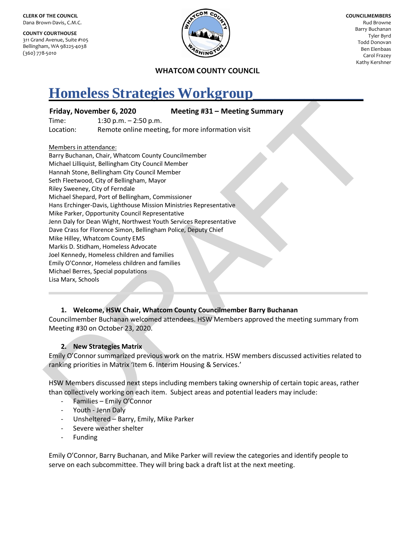**CLERK OF THE COUNCIL** Dana Brown-Davis, C.M.C.

**COUNTY COURTHOUSE** 311 Grand Avenue, Suite #105 Bellingham, WA 98225-4038 (360) 778-5010



**COUNCILMEMBERS** Rud Browne Barry Buchanan Tyler Byrd Todd Donovan Ben Elenbaas Carol Frazey Kathy Kershner

#### **WHATCOM COUNTY COUNCIL**

# **Homeless Strategies Workgroup\_\_\_\_\_\_\_\_\_\_\_\_\_\_\_**

#### **Friday, November 6, 2020 Meeting #31 – Meeting Summary**

Time: 1:30 p.m. – 2:50 p.m. Location: Remote online meeting, for more information visit

Members in attendance:

Friday, November 6, 2020<br>
Thenc: 1:30 p.m. – 2:50 p.m.<br>
Location: 1:40 p.m. – 2:50 p.m.<br>
Location: 1:40 mention chains methods of the methods for more information visit<br>
Membersian attendance<br>
Multiple is allowed in Day Wo Barry Buchanan, Chair, Whatcom County Councilmember Michael Lilliquist, Bellingham City Council Member Hannah Stone, Bellingham City Council Member Seth Fleetwood, City of Bellingham, Mayor Riley Sweeney, City of Ferndale Michael Shepard, Port of Bellingham, Commissioner Hans Erchinger-Davis, Lighthouse Mission Ministries Representative Mike Parker, Opportunity Council Representative Jenn Daly for Dean Wight, Northwest Youth Services Representative Dave Crass for Florence Simon, Bellingham Police, Deputy Chief Mike Hilley, Whatcom County EMS Markis D. Stidham, Homeless Advocate Joel Kennedy, Homeless children and families Emily O'Connor, Homeless children and families Michael Berres, Special populations Lisa Marx, Schools

# **1. Welcome, HSW Chair, Whatcom County Councilmember Barry Buchanan**

Councilmember Buchanan welcomed attendees. HSW Members approved the meeting summary from Meeting #30 on October 23, 2020.

# **2. New Strategies Matrix**

Emily O'Connor summarized previous work on the matrix. HSW members discussed activities related to ranking priorities in Matrix 'Item 6. Interim Housing & Services.'

HSW Members discussed next steps including members taking ownership of certain topic areas, rather than collectively working on each item. Subject areas and potential leaders may include:

- Families Emily O'Connor
- Youth Jenn Daly
- Unsheltered Barry, Emily, Mike Parker
- Severe weather shelter
- Funding

Emily O'Connor, Barry Buchanan, and Mike Parker will review the categories and identify people to serve on each subcommittee. They will bring back a draft list at the next meeting.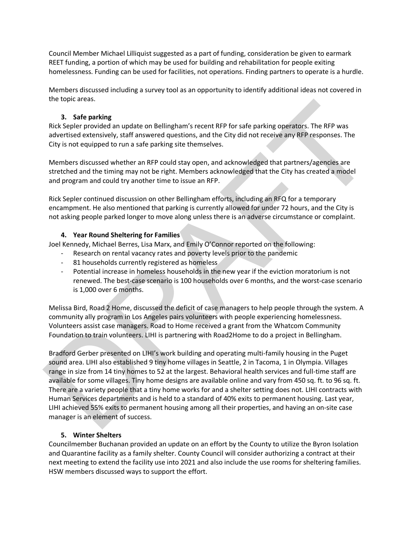Council Member Michael Lilliquist suggested as a part of funding, consideration be given to earmark REET funding, a portion of which may be used for building and rehabilitation for people exiting homelessness. Funding can be used for facilities, not operations. Finding partners to operate is a hurdle.

Members discussed including a survey tool as an opportunity to identify additional ideas not covered in the topic areas.

# **3. Safe parking**

Rick Sepler provided an update on Bellingham's recent RFP for safe parking operators. The RFP was advertised extensively, staff answered questions, and the City did not receive any RFP responses. The City is not equipped to run a safe parking site themselves.

Members discussed whether an RFP could stay open, and acknowledged that partners/agencies are stretched and the timing may not be right. Members acknowledged that the City has created a model and program and could try another time to issue an RFP.

Rick Sepler continued discussion on other Bellingham efforts, including an RFQ for a temporary encampment. He also mentioned that parking is currently allowed for under 72 hours, and the City is not asking people parked longer to move along unless there is an adverse circumstance or complaint.

#### **4. Year Round Sheltering for Families**

Joel Kennedy, Michael Berres, Lisa Marx, and Emily O'Connor reported on the following:

- Research on rental vacancy rates and poverty levels prior to the pandemic
	- 81 households currently registered as homeless
	- Potential increase in homeless households in the new year if the eviction moratorium is not renewed. The best-case scenario is 100 households over 6 months, and the worst-case scenario is 1,000 over 6 months.

Melissa Bird, Road 2 Home, discussed the deficit of case managers to help people through the system. A community ally program in Los Angeles pairs volunteers with people experiencing homelessness. Volunteers assist case managers. Road to Home received a grant from the Whatcom Community Foundation to train volunteers. LIHI is partnering with Road2Home to do a project in Bellingham.

the upper areas.<br> **State parking**<br>
Rick Sepler provided an update on Bellingham's recent RFP for safe parking operators. The RFP was<br>
addertised exercisives are are the URV of the form of the URV of the control of the URV Bradford Gerber presented on LIHI's work building and operating multi-family housing in the Puget sound area. LIHI also established 9 tiny home villages in Seattle, 2 in Tacoma, 1 in Olympia. Villages range in size from 14 tiny homes to 52 at the largest. Behavioral health services and full-time staff are available for some villages. Tiny home designs are available online and vary from 450 sq. ft. to 96 sq. ft. There are a variety people that a tiny home works for and a shelter setting does not. LIHI contracts with Human Services departments and is held to a standard of 40% exits to permanent housing. Last year, LIHI achieved 55% exits to permanent housing among all their properties, and having an on-site case manager is an element of success.

# **5. Winter Shelters**

Councilmember Buchanan provided an update on an effort by the County to utilize the Byron Isolation and Quarantine facility as a family shelter. County Council will consider authorizing a contract at their next meeting to extend the facility use into 2021 and also include the use rooms for sheltering families. HSW members discussed ways to support the effort.